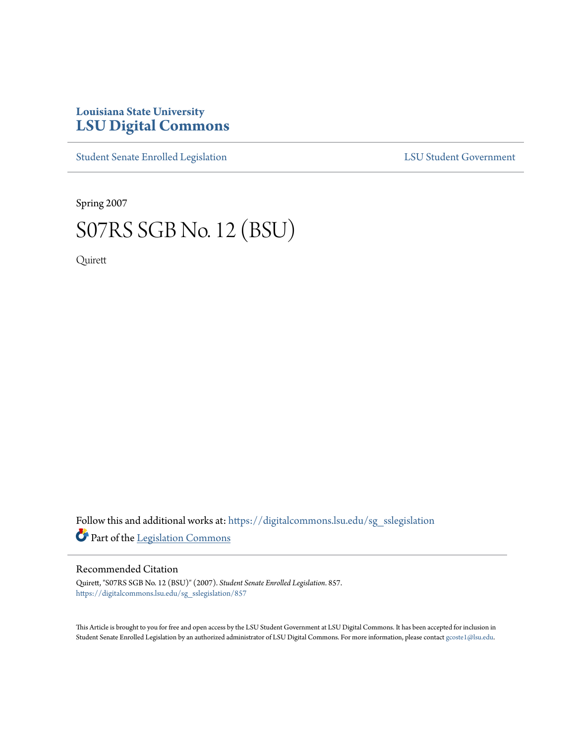## **Louisiana State University [LSU Digital Commons](https://digitalcommons.lsu.edu?utm_source=digitalcommons.lsu.edu%2Fsg_sslegislation%2F857&utm_medium=PDF&utm_campaign=PDFCoverPages)**

[Student Senate Enrolled Legislation](https://digitalcommons.lsu.edu/sg_sslegislation?utm_source=digitalcommons.lsu.edu%2Fsg_sslegislation%2F857&utm_medium=PDF&utm_campaign=PDFCoverPages) [LSU Student Government](https://digitalcommons.lsu.edu/sg?utm_source=digitalcommons.lsu.edu%2Fsg_sslegislation%2F857&utm_medium=PDF&utm_campaign=PDFCoverPages)

Spring 2007

## S07RS SGB No. 12 (BSU)

Quirett

Follow this and additional works at: [https://digitalcommons.lsu.edu/sg\\_sslegislation](https://digitalcommons.lsu.edu/sg_sslegislation?utm_source=digitalcommons.lsu.edu%2Fsg_sslegislation%2F857&utm_medium=PDF&utm_campaign=PDFCoverPages) Part of the [Legislation Commons](http://network.bepress.com/hgg/discipline/859?utm_source=digitalcommons.lsu.edu%2Fsg_sslegislation%2F857&utm_medium=PDF&utm_campaign=PDFCoverPages)

## Recommended Citation

Quirett, "S07RS SGB No. 12 (BSU)" (2007). *Student Senate Enrolled Legislation*. 857. [https://digitalcommons.lsu.edu/sg\\_sslegislation/857](https://digitalcommons.lsu.edu/sg_sslegislation/857?utm_source=digitalcommons.lsu.edu%2Fsg_sslegislation%2F857&utm_medium=PDF&utm_campaign=PDFCoverPages)

This Article is brought to you for free and open access by the LSU Student Government at LSU Digital Commons. It has been accepted for inclusion in Student Senate Enrolled Legislation by an authorized administrator of LSU Digital Commons. For more information, please contact [gcoste1@lsu.edu.](mailto:gcoste1@lsu.edu)